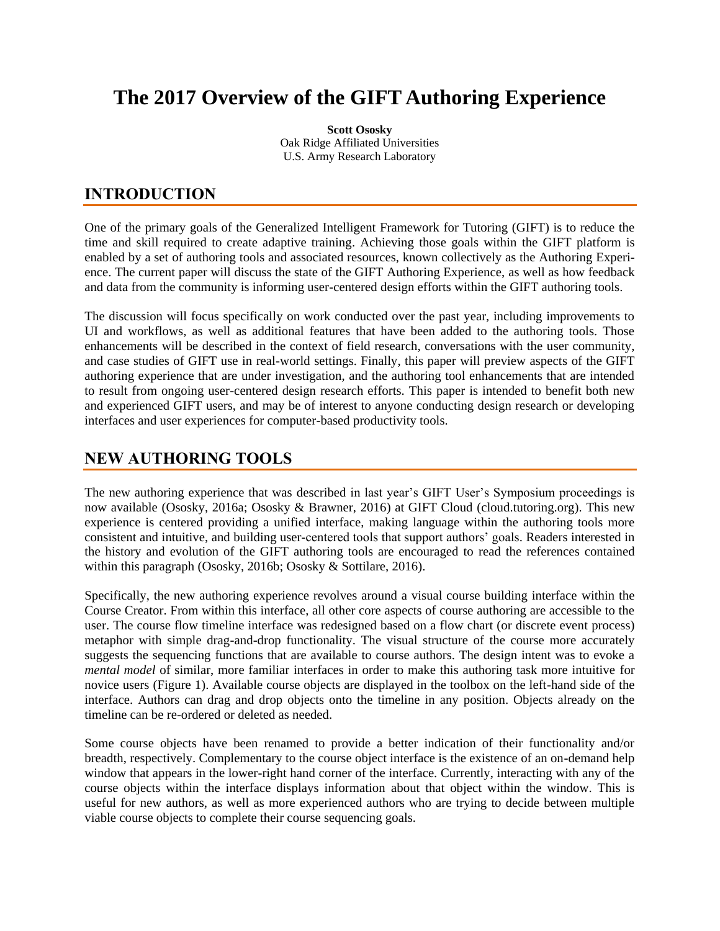# **The 2017 Overview of the GIFT Authoring Experience**

**Scott Ososky** Oak Ridge Affiliated Universities U.S. Army Research Laboratory

### **INTRODUCTION**

One of the primary goals of the Generalized Intelligent Framework for Tutoring (GIFT) is to reduce the time and skill required to create adaptive training. Achieving those goals within the GIFT platform is enabled by a set of authoring tools and associated resources, known collectively as the Authoring Experience. The current paper will discuss the state of the GIFT Authoring Experience, as well as how feedback and data from the community is informing user-centered design efforts within the GIFT authoring tools.

The discussion will focus specifically on work conducted over the past year, including improvements to UI and workflows, as well as additional features that have been added to the authoring tools. Those enhancements will be described in the context of field research, conversations with the user community, and case studies of GIFT use in real-world settings. Finally, this paper will preview aspects of the GIFT authoring experience that are under investigation, and the authoring tool enhancements that are intended to result from ongoing user-centered design research efforts. This paper is intended to benefit both new and experienced GIFT users, and may be of interest to anyone conducting design research or developing interfaces and user experiences for computer-based productivity tools.

# **NEW AUTHORING TOOLS**

The new authoring experience that was described in last year's GIFT User's Symposium proceedings is now available [\(Ososky, 2016a;](#page-9-0) [Ososky & Brawner, 2016\)](#page-9-1) at GIFT Cloud (cloud.tutoring.org). This new experience is centered providing a unified interface, making language within the authoring tools more consistent and intuitive, and building user-centered tools that support authors' goals. Readers interested in the history and evolution of the GIFT authoring tools are encouraged to read the references contained within this paragraph [\(Ososky, 2016b;](#page-9-2) [Ososky & Sottilare, 2016\)](#page-9-3).

Specifically, the new authoring experience revolves around a visual course building interface within the Course Creator. From within this interface, all other core aspects of course authoring are accessible to the user. The course flow timeline interface was redesigned based on a flow chart (or discrete event process) metaphor with simple drag-and-drop functionality. The visual structure of the course more accurately suggests the sequencing functions that are available to course authors. The design intent was to evoke a *mental model* of similar, more familiar interfaces in order to make this authoring task more intuitive for novice users [\(Figure 1\)](#page-1-0). Available course objects are displayed in the toolbox on the left-hand side of the interface. Authors can drag and drop objects onto the timeline in any position. Objects already on the timeline can be re-ordered or deleted as needed.

Some course objects have been renamed to provide a better indication of their functionality and/or breadth, respectively. Complementary to the course object interface is the existence of an on-demand help window that appears in the lower-right hand corner of the interface. Currently, interacting with any of the course objects within the interface displays information about that object within the window. This is useful for new authors, as well as more experienced authors who are trying to decide between multiple viable course objects to complete their course sequencing goals.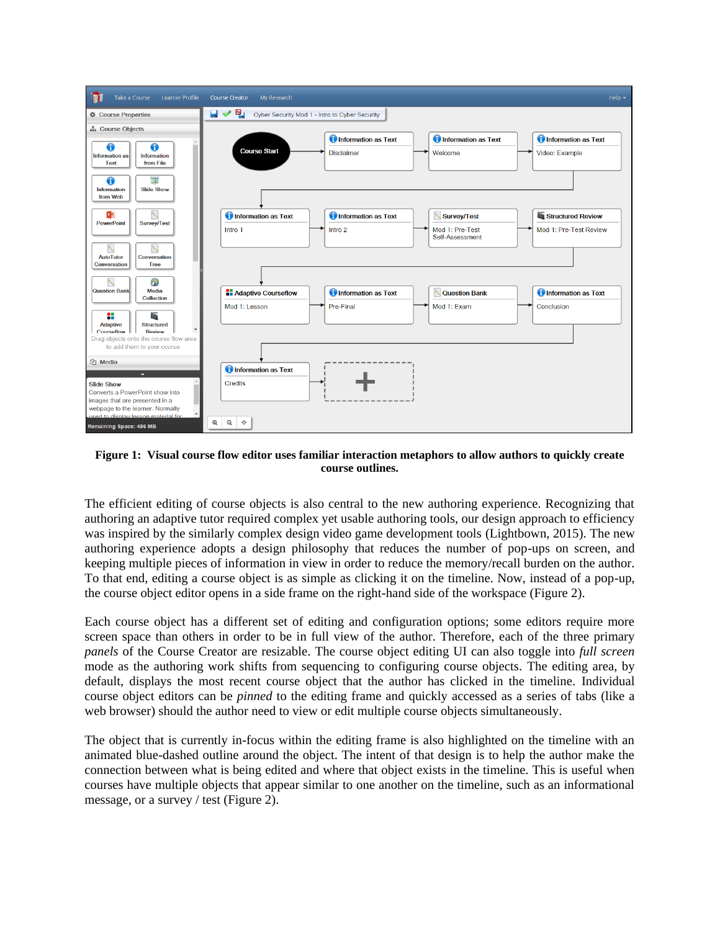

<span id="page-1-0"></span>**Figure 1: Visual course flow editor uses familiar interaction metaphors to allow authors to quickly create course outlines.**

The efficient editing of course objects is also central to the new authoring experience. Recognizing that authoring an adaptive tutor required complex yet usable authoring tools, our design approach to efficiency was inspired by the similarly complex design video game development tools [\(Lightbown, 2015\)](#page-8-0). The new authoring experience adopts a design philosophy that reduces the number of pop-ups on screen, and keeping multiple pieces of information in view in order to reduce the memory/recall burden on the author. To that end, editing a course object is as simple as clicking it on the timeline. Now, instead of a pop-up, the course object editor opens in a side frame on the right-hand side of the workspace [\(Figure 2\)](#page-2-0).

Each course object has a different set of editing and configuration options; some editors require more screen space than others in order to be in full view of the author. Therefore, each of the three primary *panels* of the Course Creator are resizable. The course object editing UI can also toggle into *full screen* mode as the authoring work shifts from sequencing to configuring course objects. The editing area, by default, displays the most recent course object that the author has clicked in the timeline. Individual course object editors can be *pinned* to the editing frame and quickly accessed as a series of tabs (like a web browser) should the author need to view or edit multiple course objects simultaneously.

The object that is currently in-focus within the editing frame is also highlighted on the timeline with an animated blue-dashed outline around the object. The intent of that design is to help the author make the connection between what is being edited and where that object exists in the timeline. This is useful when courses have multiple objects that appear similar to one another on the timeline, such as an informational message, or a survey / test (Figure 2).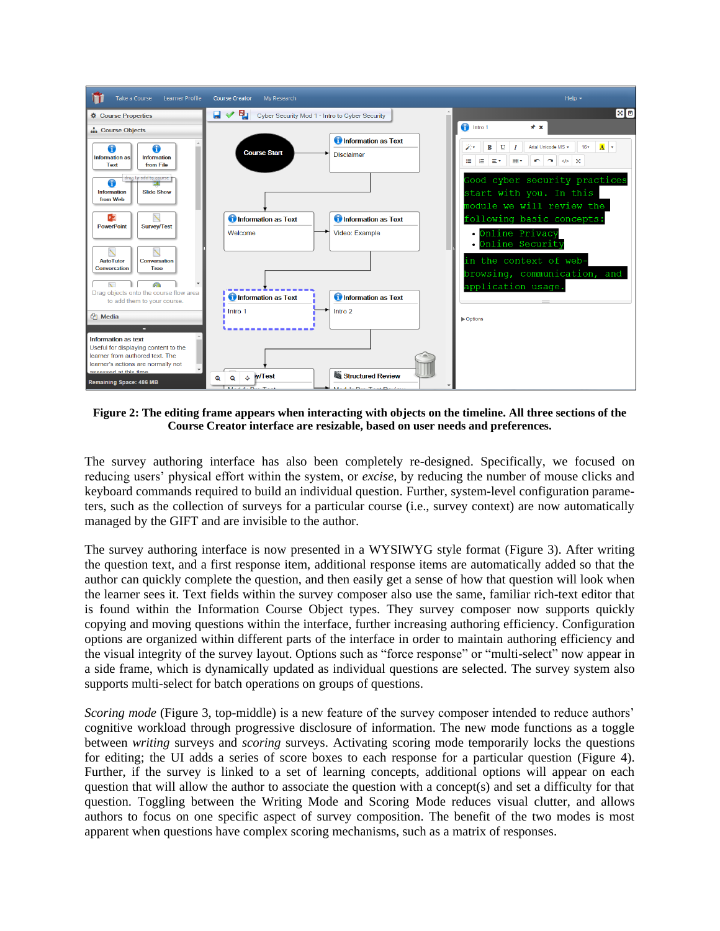

<span id="page-2-0"></span>**Figure 2: The editing frame appears when interacting with objects on the timeline. All three sections of the Course Creator interface are resizable, based on user needs and preferences.**

The survey authoring interface has also been completely re-designed. Specifically, we focused on reducing users' physical effort within the system, or *excise*, by reducing the number of mouse clicks and keyboard commands required to build an individual question. Further, system-level configuration parameters, such as the collection of surveys for a particular course (i.e., survey context) are now automatically managed by the GIFT and are invisible to the author.

The survey authoring interface is now presented in a WYSIWYG style format [\(Figure 3\)](#page-3-0). After writing the question text, and a first response item, additional response items are automatically added so that the author can quickly complete the question, and then easily get a sense of how that question will look when the learner sees it. Text fields within the survey composer also use the same, familiar rich-text editor that is found within the Information Course Object types. They survey composer now supports quickly copying and moving questions within the interface, further increasing authoring efficiency. Configuration options are organized within different parts of the interface in order to maintain authoring efficiency and the visual integrity of the survey layout. Options such as "force response" or "multi-select" now appear in a side frame, which is dynamically updated as individual questions are selected. The survey system also supports multi-select for batch operations on groups of questions.

*Scoring mode* (Figure 3, top-middle) is a new feature of the survey composer intended to reduce authors' cognitive workload through progressive disclosure of information. The new mode functions as a toggle between *writing* surveys and *scoring* surveys. Activating scoring mode temporarily locks the questions for editing; the UI adds a series of score boxes to each response for a particular question [\(Figure 4\)](#page-3-1). Further, if the survey is linked to a set of learning concepts, additional options will appear on each question that will allow the author to associate the question with a concept(s) and set a difficulty for that question. Toggling between the Writing Mode and Scoring Mode reduces visual clutter, and allows authors to focus on one specific aspect of survey composition. The benefit of the two modes is most apparent when questions have complex scoring mechanisms, such as a matrix of responses.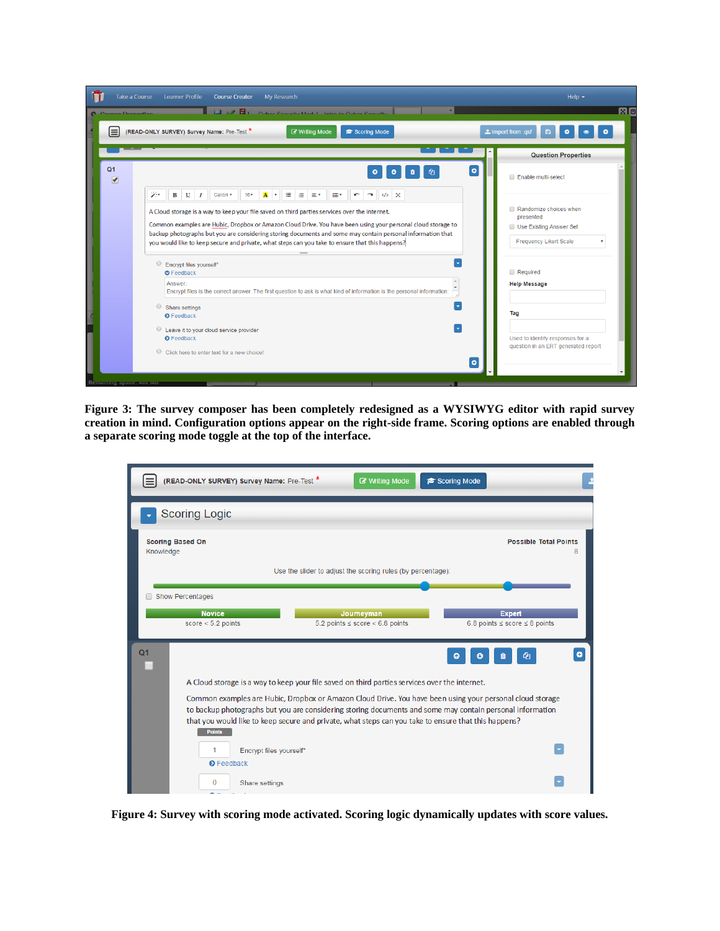

<span id="page-3-0"></span>**Figure 3: The survey composer has been completely redesigned as a WYSIWYG editor with rapid survey creation in mind. Configuration options appear on the right-side frame. Scoring options are enabled through a separate scoring mode toggle at the top of the interface.** 

| (READ-ONLY SURVEY) Survey Name: Pre-Test *<br>■ Writing Mode<br>Scoring Mode                                                                                                                                                                                                                                                                                                                                                                                                                                                |                                                        |  |
|-----------------------------------------------------------------------------------------------------------------------------------------------------------------------------------------------------------------------------------------------------------------------------------------------------------------------------------------------------------------------------------------------------------------------------------------------------------------------------------------------------------------------------|--------------------------------------------------------|--|
| <b>Scoring Logic</b>                                                                                                                                                                                                                                                                                                                                                                                                                                                                                                        |                                                        |  |
| <b>Scoring Based On</b><br>Knowledge                                                                                                                                                                                                                                                                                                                                                                                                                                                                                        | <b>Possible Total Points</b>                           |  |
| Use the slider to adjust the scoring rules (by percentage):                                                                                                                                                                                                                                                                                                                                                                                                                                                                 |                                                        |  |
| <b>Show Percentages</b><br><b>Novice</b><br>Journeyman<br>score $< 5.2$ points<br>5.2 points $\le$ score $\le$ 6.8 points                                                                                                                                                                                                                                                                                                                                                                                                   | <b>Expert</b><br>6.8 points $\le$ score $\le$ 8 points |  |
| Q <sub>1</sub><br>٥<br>A Cloud storage is a way to keep your file saved on third parties services over the internet.<br>Common examples are Hubic, Dropbox or Amazon Cloud Drive. You have been using your personal cloud storage<br>to backup photographs but you are considering storing documents and some may contain personal information<br>that you would like to keep secure and private, what steps can you take to ensure that this happens?<br><b>Points</b><br>Encrypt files yourself*<br>1<br>$\odot$ Feedback |                                                        |  |
| Share settings<br>$\Omega$                                                                                                                                                                                                                                                                                                                                                                                                                                                                                                  |                                                        |  |

<span id="page-3-1"></span>**Figure 4: Survey with scoring mode activated. Scoring logic dynamically updates with score values.**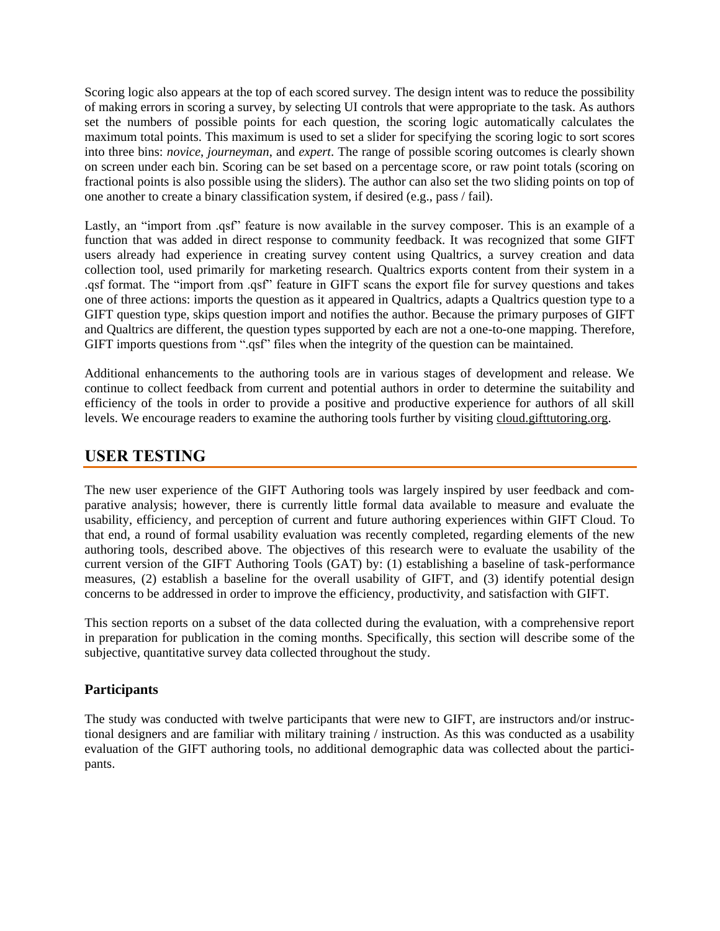Scoring logic also appears at the top of each scored survey. The design intent was to reduce the possibility of making errors in scoring a survey, by selecting UI controls that were appropriate to the task. As authors set the numbers of possible points for each question, the scoring logic automatically calculates the maximum total points. This maximum is used to set a slider for specifying the scoring logic to sort scores into three bins: *novice*, *journeyman*, and *expert*. The range of possible scoring outcomes is clearly shown on screen under each bin. Scoring can be set based on a percentage score, or raw point totals (scoring on fractional points is also possible using the sliders). The author can also set the two sliding points on top of one another to create a binary classification system, if desired (e.g., pass / fail).

Lastly, an "import from .qsf" feature is now available in the survey composer. This is an example of a function that was added in direct response to community feedback. It was recognized that some GIFT users already had experience in creating survey content using Qualtrics, a survey creation and data collection tool, used primarily for marketing research. Qualtrics exports content from their system in a .qsf format. The "import from .qsf" feature in GIFT scans the export file for survey questions and takes one of three actions: imports the question as it appeared in Qualtrics, adapts a Qualtrics question type to a GIFT question type, skips question import and notifies the author. Because the primary purposes of GIFT and Qualtrics are different, the question types supported by each are not a one-to-one mapping. Therefore, GIFT imports questions from ".qsf" files when the integrity of the question can be maintained.

Additional enhancements to the authoring tools are in various stages of development and release. We continue to collect feedback from current and potential authors in order to determine the suitability and efficiency of the tools in order to provide a positive and productive experience for authors of all skill levels. We encourage readers to examine the authoring tools further by visiting cloud.gifttutoring.org.

### **USER TESTING**

The new user experience of the GIFT Authoring tools was largely inspired by user feedback and comparative analysis; however, there is currently little formal data available to measure and evaluate the usability, efficiency, and perception of current and future authoring experiences within GIFT Cloud. To that end, a round of formal usability evaluation was recently completed, regarding elements of the new authoring tools, described above. The objectives of this research were to evaluate the usability of the current version of the GIFT Authoring Tools (GAT) by: (1) establishing a baseline of task-performance measures, (2) establish a baseline for the overall usability of GIFT, and (3) identify potential design concerns to be addressed in order to improve the efficiency, productivity, and satisfaction with GIFT.

This section reports on a subset of the data collected during the evaluation, with a comprehensive report in preparation for publication in the coming months. Specifically, this section will describe some of the subjective, quantitative survey data collected throughout the study.

### **Participants**

The study was conducted with twelve participants that were new to GIFT, are instructors and/or instructional designers and are familiar with military training / instruction. As this was conducted as a usability evaluation of the GIFT authoring tools, no additional demographic data was collected about the participants.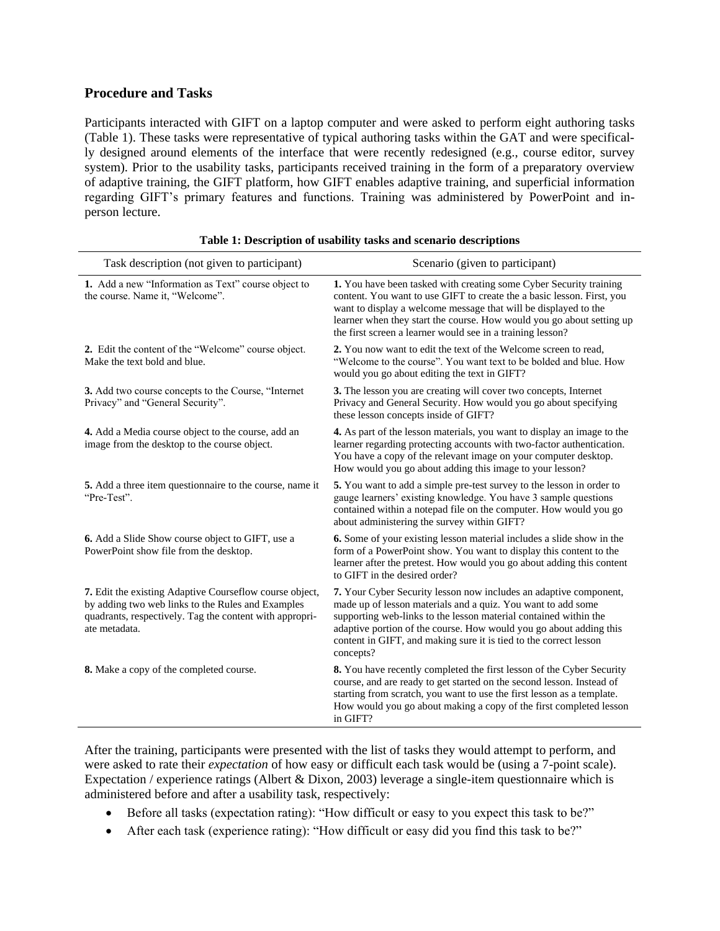#### **Procedure and Tasks**

Participants interacted with GIFT on a laptop computer and were asked to perform eight authoring tasks (Table 1). These tasks were representative of typical authoring tasks within the GAT and were specifically designed around elements of the interface that were recently redesigned (e.g., course editor, survey system). Prior to the usability tasks, participants received training in the form of a preparatory overview of adaptive training, the GIFT platform, how GIFT enables adaptive training, and superficial information regarding GIFT's primary features and functions. Training was administered by PowerPoint and inperson lecture.

| Task description (not given to participant)                                                                                                                                              | Scenario (given to participant)                                                                                                                                                                                                                                                                                                                               |
|------------------------------------------------------------------------------------------------------------------------------------------------------------------------------------------|---------------------------------------------------------------------------------------------------------------------------------------------------------------------------------------------------------------------------------------------------------------------------------------------------------------------------------------------------------------|
| 1. Add a new "Information as Text" course object to<br>the course. Name it, "Welcome".                                                                                                   | 1. You have been tasked with creating some Cyber Security training<br>content. You want to use GIFT to create the a basic lesson. First, you<br>want to display a welcome message that will be displayed to the<br>learner when they start the course. How would you go about setting up<br>the first screen a learner would see in a training lesson?        |
| 2. Edit the content of the "Welcome" course object.<br>Make the text bold and blue.                                                                                                      | 2. You now want to edit the text of the Welcome screen to read,<br>"Welcome to the course". You want text to be bolded and blue. How<br>would you go about editing the text in GIFT?                                                                                                                                                                          |
| 3. Add two course concepts to the Course, "Internet"<br>Privacy" and "General Security".                                                                                                 | <b>3.</b> The lesson you are creating will cover two concepts, Internet<br>Privacy and General Security. How would you go about specifying<br>these lesson concepts inside of GIFT?                                                                                                                                                                           |
| 4. Add a Media course object to the course, add an<br>image from the desktop to the course object.                                                                                       | 4. As part of the lesson materials, you want to display an image to the<br>learner regarding protecting accounts with two-factor authentication.<br>You have a copy of the relevant image on your computer desktop.<br>How would you go about adding this image to your lesson?                                                                               |
| 5. Add a three item questionnaire to the course, name it<br>"Pre-Test".                                                                                                                  | 5. You want to add a simple pre-test survey to the lesson in order to<br>gauge learners' existing knowledge. You have 3 sample questions<br>contained within a notepad file on the computer. How would you go<br>about administering the survey within GIFT?                                                                                                  |
| 6. Add a Slide Show course object to GIFT, use a<br>PowerPoint show file from the desktop.                                                                                               | 6. Some of your existing lesson material includes a slide show in the<br>form of a PowerPoint show. You want to display this content to the<br>learner after the pretest. How would you go about adding this content<br>to GIFT in the desired order?                                                                                                         |
| 7. Edit the existing Adaptive Courseflow course object,<br>by adding two web links to the Rules and Examples<br>quadrants, respectively. Tag the content with appropri-<br>ate metadata. | 7. Your Cyber Security lesson now includes an adaptive component,<br>made up of lesson materials and a quiz. You want to add some<br>supporting web-links to the lesson material contained within the<br>adaptive portion of the course. How would you go about adding this<br>content in GIFT, and making sure it is tied to the correct lesson<br>concepts? |
| 8. Make a copy of the completed course.                                                                                                                                                  | 8. You have recently completed the first lesson of the Cyber Security<br>course, and are ready to get started on the second lesson. Instead of<br>starting from scratch, you want to use the first lesson as a template.<br>How would you go about making a copy of the first completed lesson<br>in GIFT?                                                    |

|  | Table 1: Description of usability tasks and scenario descriptions |
|--|-------------------------------------------------------------------|
|--|-------------------------------------------------------------------|

After the training, participants were presented with the list of tasks they would attempt to perform, and were asked to rate their *expectation* of how easy or difficult each task would be (using a 7-point scale). Expectation / experience ratings [\(Albert & Dixon, 2003\)](#page-8-1) leverage a single-item questionnaire which is administered before and after a usability task, respectively:

- Before all tasks (expectation rating): "How difficult or easy to you expect this task to be?"
- After each task (experience rating): "How difficult or easy did you find this task to be?"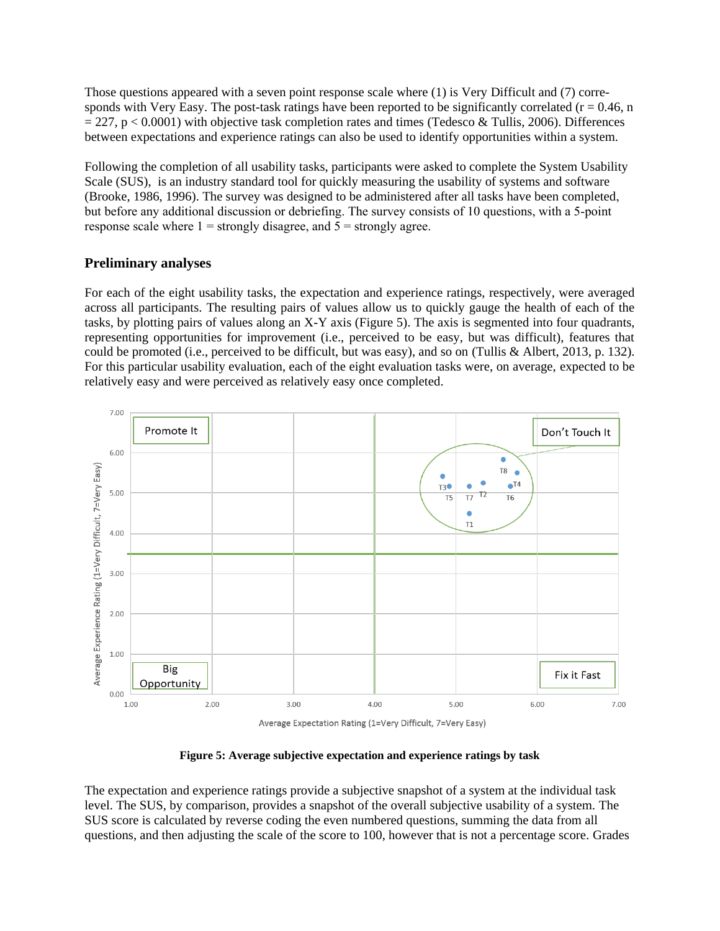Those questions appeared with a seven point response scale where (1) is Very Difficult and (7) corresponds with Very Easy. The post-task ratings have been reported to be significantly correlated ( $r = 0.46$ , n  $= 227$ , p < 0.0001) with objective task completion rates and times [\(Tedesco & Tullis, 2006\)](#page-9-4). Differences between expectations and experience ratings can also be used to identify opportunities within a system.

Following the completion of all usability tasks, participants were asked to complete the System Usability Scale (SUS), is an industry standard tool for quickly measuring the usability of systems and software [\(Brooke, 1986,](#page-8-2) [1996\)](#page-8-3). The survey was designed to be administered after all tasks have been completed, but before any additional discussion or debriefing. The survey consists of 10 questions, with a 5-point response scale where  $1 =$  strongly disagree, and  $5 =$  strongly agree.

#### **Preliminary analyses**

For each of the eight usability tasks, the expectation and experience ratings, respectively, were averaged across all participants. The resulting pairs of values allow us to quickly gauge the health of each of the tasks, by plotting pairs of values along an X-Y axis (Figure 5). The axis is segmented into four quadrants, representing opportunities for improvement (i.e., perceived to be easy, but was difficult), features that could be promoted (i.e., perceived to be difficult, but was easy), and so on [\(Tullis & Albert, 2013,](#page-9-5) p. 132). For this particular usability evaluation, each of the eight evaluation tasks were, on average, expected to be relatively easy and were perceived as relatively easy once completed.



**Figure 5: Average subjective expectation and experience ratings by task**

The expectation and experience ratings provide a subjective snapshot of a system at the individual task level. The SUS, by comparison, provides a snapshot of the overall subjective usability of a system. The SUS score is calculated by reverse coding the even numbered questions, summing the data from all questions, and then adjusting the scale of the score to 100, however that is not a percentage score. Grades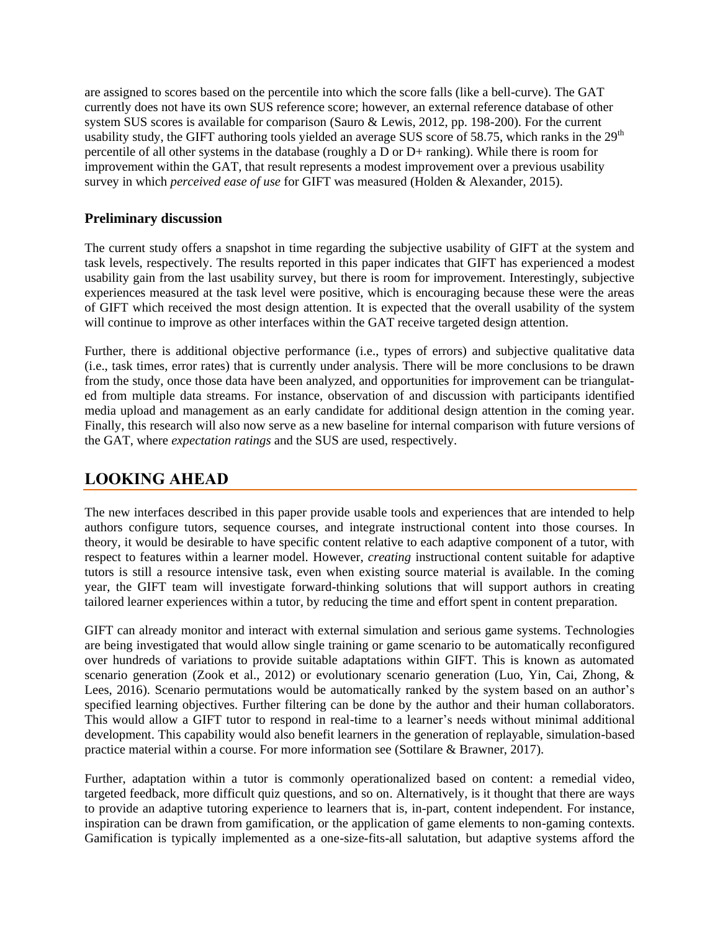are assigned to scores based on the percentile into which the score falls (like a bell-curve). The GAT currently does not have its own SUS reference score; however, an external reference database of other system SUS scores is available for comparison [\(Sauro & Lewis, 2012, pp. 198-200\)](#page-9-6). For the current usability study, the GIFT authoring tools yielded an average SUS score of 58.75, which ranks in the  $29<sup>th</sup>$ percentile of all other systems in the database (roughly a D or D+ ranking). While there is room for improvement within the GAT, that result represents a modest improvement over a previous usability survey in which *perceived ease of use* for GIFT was measured [\(Holden & Alexander, 2015\)](#page-8-4).

#### **Preliminary discussion**

The current study offers a snapshot in time regarding the subjective usability of GIFT at the system and task levels, respectively. The results reported in this paper indicates that GIFT has experienced a modest usability gain from the last usability survey, but there is room for improvement. Interestingly, subjective experiences measured at the task level were positive, which is encouraging because these were the areas of GIFT which received the most design attention. It is expected that the overall usability of the system will continue to improve as other interfaces within the GAT receive targeted design attention.

Further, there is additional objective performance (i.e., types of errors) and subjective qualitative data (i.e., task times, error rates) that is currently under analysis. There will be more conclusions to be drawn from the study, once those data have been analyzed, and opportunities for improvement can be triangulated from multiple data streams. For instance, observation of and discussion with participants identified media upload and management as an early candidate for additional design attention in the coming year. Finally, this research will also now serve as a new baseline for internal comparison with future versions of the GAT, where *expectation ratings* and the SUS are used, respectively.

# **LOOKING AHEAD**

The new interfaces described in this paper provide usable tools and experiences that are intended to help authors configure tutors, sequence courses, and integrate instructional content into those courses. In theory, it would be desirable to have specific content relative to each adaptive component of a tutor, with respect to features within a learner model. However, *creating* instructional content suitable for adaptive tutors is still a resource intensive task, even when existing source material is available. In the coming year, the GIFT team will investigate forward-thinking solutions that will support authors in creating tailored learner experiences within a tutor, by reducing the time and effort spent in content preparation.

GIFT can already monitor and interact with external simulation and serious game systems. Technologies are being investigated that would allow single training or game scenario to be automatically reconfigured over hundreds of variations to provide suitable adaptations within GIFT. This is known as automated scenario generation [\(Zook et al., 2012\)](#page-9-7) or evolutionary scenario generation [\(Luo, Yin, Cai, Zhong, &](#page-9-8)  [Lees, 2016\)](#page-9-8). Scenario permutations would be automatically ranked by the system based on an author's specified learning objectives. Further filtering can be done by the author and their human collaborators. This would allow a GIFT tutor to respond in real-time to a learner's needs without minimal additional development. This capability would also benefit learners in the generation of replayable, simulation-based practice material within a course. For more information see [\(Sottilare & Brawner, 2017\)](#page-9-9).

Further, adaptation within a tutor is commonly operationalized based on content: a remedial video, targeted feedback, more difficult quiz questions, and so on. Alternatively, is it thought that there are ways to provide an adaptive tutoring experience to learners that is, in-part, content independent. For instance, inspiration can be drawn from gamification, or the application of game elements to non-gaming contexts. Gamification is typically implemented as a one-size-fits-all salutation, but adaptive systems afford the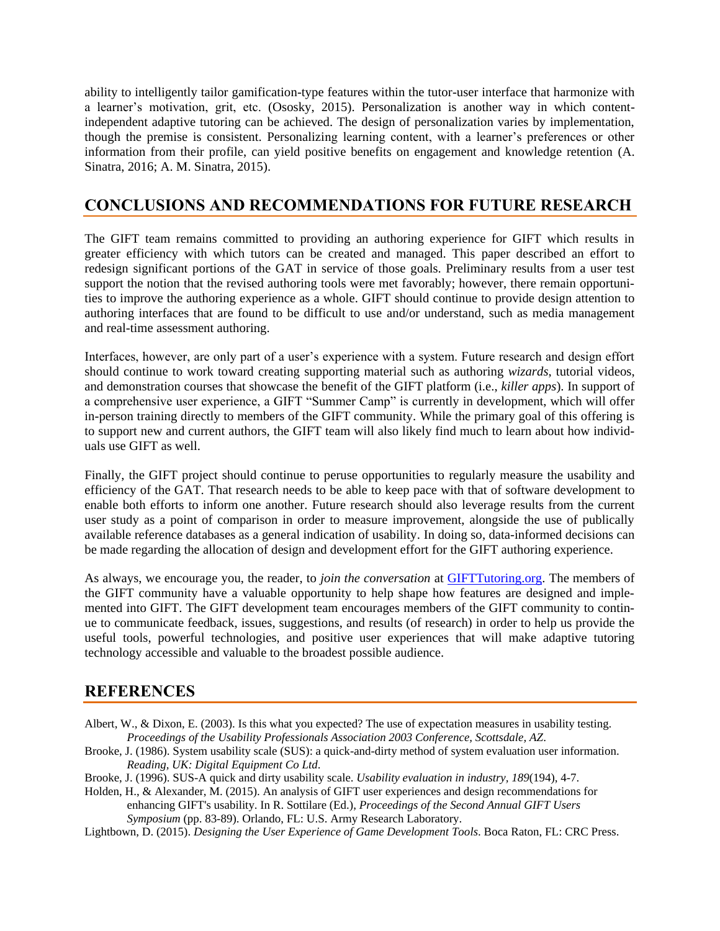ability to intelligently tailor gamification-type features within the tutor-user interface that harmonize with a learner's motivation, grit, etc. [\(Ososky, 2015\)](#page-9-10). Personalization is another way in which contentindependent adaptive tutoring can be achieved. The design of personalization varies by implementation, though the premise is consistent. Personalizing learning content, with a learner's preferences or other information from their profile, can yield positive benefits on engagement and knowledge retention [\(A.](#page-9-11)  [Sinatra, 2016;](#page-9-11) [A. M. Sinatra, 2015\)](#page-9-12).

# **CONCLUSIONS AND RECOMMENDATIONS FOR FUTURE RESEARCH**

The GIFT team remains committed to providing an authoring experience for GIFT which results in greater efficiency with which tutors can be created and managed. This paper described an effort to redesign significant portions of the GAT in service of those goals. Preliminary results from a user test support the notion that the revised authoring tools were met favorably; however, there remain opportunities to improve the authoring experience as a whole. GIFT should continue to provide design attention to authoring interfaces that are found to be difficult to use and/or understand, such as media management and real-time assessment authoring.

Interfaces, however, are only part of a user's experience with a system. Future research and design effort should continue to work toward creating supporting material such as authoring *wizards*, tutorial videos, and demonstration courses that showcase the benefit of the GIFT platform (i.e., *killer apps*). In support of a comprehensive user experience, a GIFT "Summer Camp" is currently in development, which will offer in-person training directly to members of the GIFT community. While the primary goal of this offering is to support new and current authors, the GIFT team will also likely find much to learn about how individuals use GIFT as well.

Finally, the GIFT project should continue to peruse opportunities to regularly measure the usability and efficiency of the GAT. That research needs to be able to keep pace with that of software development to enable both efforts to inform one another. Future research should also leverage results from the current user study as a point of comparison in order to measure improvement, alongside the use of publically available reference databases as a general indication of usability. In doing so, data-informed decisions can be made regarding the allocation of design and development effort for the GIFT authoring experience.

As always, we encourage you, the reader, to *join the conversation* at [GIFTTutoring.org.](https://gifttutoring.org/projects/gift/wiki/Overview) The members of the GIFT community have a valuable opportunity to help shape how features are designed and implemented into GIFT. The GIFT development team encourages members of the GIFT community to continue to communicate feedback, issues, suggestions, and results (of research) in order to help us provide the useful tools, powerful technologies, and positive user experiences that will make adaptive tutoring technology accessible and valuable to the broadest possible audience.

# **REFERENCES**

- <span id="page-8-1"></span>Albert, W., & Dixon, E. (2003). Is this what you expected? The use of expectation measures in usability testing*. Proceedings of the Usability Professionals Association 2003 Conference, Scottsdale, AZ*.
- <span id="page-8-2"></span>Brooke, J. (1986). System usability scale (SUS): a quick-and-dirty method of system evaluation user information. *Reading, UK: Digital Equipment Co Ltd*.
- <span id="page-8-3"></span>Brooke, J. (1996). SUS-A quick and dirty usability scale. *Usability evaluation in industry, 189*(194), 4-7.
- <span id="page-8-4"></span>Holden, H., & Alexander, M. (2015). An analysis of GIFT user experiences and design recommendations for enhancing GIFT's usability. In R. Sottilare (Ed.), *Proceedings of the Second Annual GIFT Users Symposium* (pp. 83-89). Orlando, FL: U.S. Army Research Laboratory.

<span id="page-8-0"></span>Lightbown, D. (2015). *Designing the User Experience of Game Development Tools*. Boca Raton, FL: CRC Press.